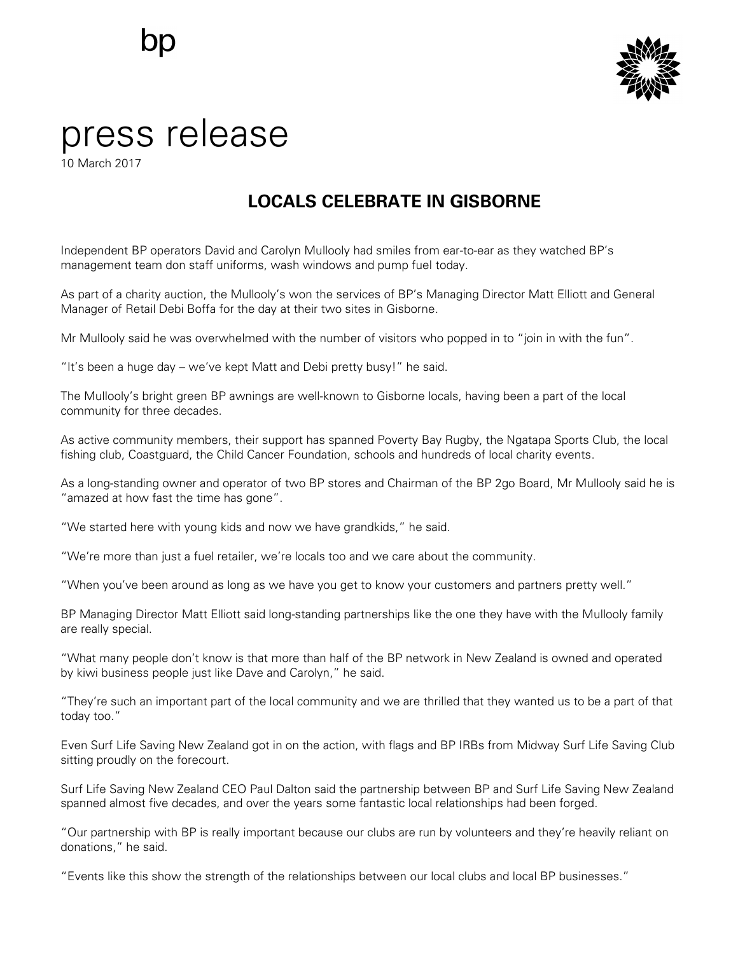

## press release

10 March 2017

## **LOCALS CELEBRATE IN GISBORNE**

Independent BP operators David and Carolyn Mullooly had smiles from ear-to-ear as they watched BP's management team don staff uniforms, wash windows and pump fuel today.

As part of a charity auction, the Mullooly's won the services of BP's Managing Director Matt Elliott and General Manager of Retail Debi Boffa for the day at their two sites in Gisborne.

Mr Mullooly said he was overwhelmed with the number of visitors who popped in to "join in with the fun".

"It's been a huge day – we've kept Matt and Debi pretty busy!" he said.

The Mullooly's bright green BP awnings are well-known to Gisborne locals, having been a part of the local community for three decades.

As active community members, their support has spanned Poverty Bay Rugby, the Ngatapa Sports Club, the local fishing club, Coastguard, the Child Cancer Foundation, schools and hundreds of local charity events.

As a long-standing owner and operator of two BP stores and Chairman of the BP 2go Board, Mr Mullooly said he is "amazed at how fast the time has gone".

"We started here with young kids and now we have grandkids," he said.

"We're more than just a fuel retailer, we're locals too and we care about the community.

"When you've been around as long as we have you get to know your customers and partners pretty well."

BP Managing Director Matt Elliott said long-standing partnerships like the one they have with the Mullooly family are really special.

"What many people don't know is that more than half of the BP network in New Zealand is owned and operated by kiwi business people just like Dave and Carolyn," he said.

"They're such an important part of the local community and we are thrilled that they wanted us to be a part of that today too."

Even Surf Life Saving New Zealand got in on the action, with flags and BP IRBs from Midway Surf Life Saving Club sitting proudly on the forecourt.

Surf Life Saving New Zealand CEO Paul Dalton said the partnership between BP and Surf Life Saving New Zealand spanned almost five decades, and over the years some fantastic local relationships had been forged.

"Our partnership with BP is really important because our clubs are run by volunteers and they're heavily reliant on donations," he said.

"Events like this show the strength of the relationships between our local clubs and local BP businesses."